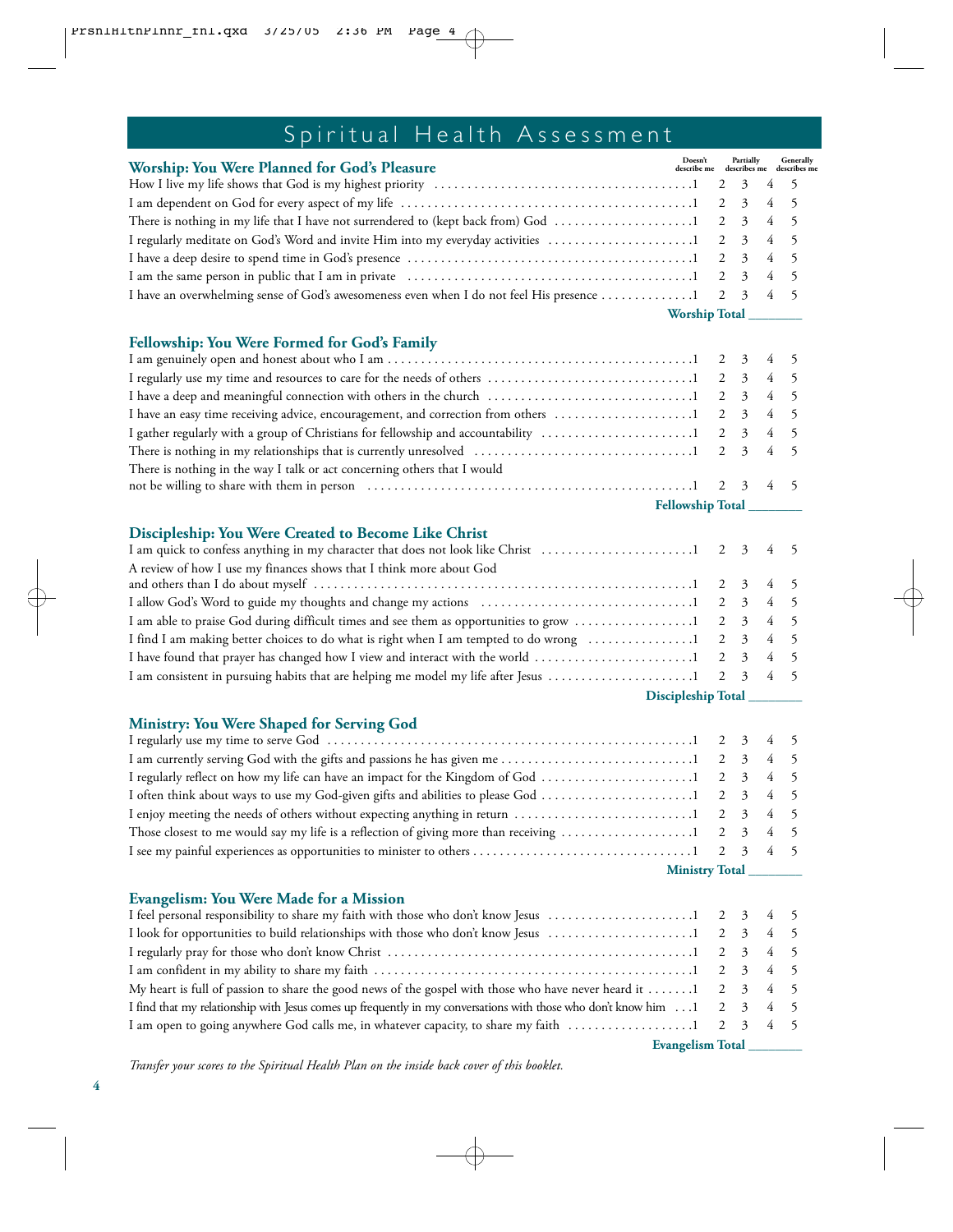## Spiritual Health Assessment

| Worship: You Were Planned for God's Pleasure                                                                                    | Doesn't Partially Generally<br>describe me describes me describes me |  |  |  |
|---------------------------------------------------------------------------------------------------------------------------------|----------------------------------------------------------------------|--|--|--|
|                                                                                                                                 |                                                                      |  |  |  |
|                                                                                                                                 |                                                                      |  |  |  |
| There is nothing in my life that I have not surrendered to (kept back from) God $\dots\dots\dots\dots\dots\dots\dots$ 1 2 3 4 5 |                                                                      |  |  |  |
|                                                                                                                                 |                                                                      |  |  |  |
|                                                                                                                                 |                                                                      |  |  |  |
|                                                                                                                                 |                                                                      |  |  |  |
| I have an overwhelming sense of God's awesomeness even when I do not feel His presence 1 2 3 4 5                                |                                                                      |  |  |  |
| Worship Total                                                                                                                   |                                                                      |  |  |  |

### **Fellowship: You Were Formed for God's Family**

| There is nothing in the way I talk or act concerning others that I would |  |  |  |  |
|--------------------------------------------------------------------------|--|--|--|--|
|                                                                          |  |  |  |  |
| Fellowship Total                                                         |  |  |  |  |

#### **Discipleship: You Were Created to Become Like Christ**

| A review of how I use my finances shows that I think more about God                                                              |  |  |
|----------------------------------------------------------------------------------------------------------------------------------|--|--|
|                                                                                                                                  |  |  |
|                                                                                                                                  |  |  |
|                                                                                                                                  |  |  |
|                                                                                                                                  |  |  |
| I have found that prayer has changed how I view and interact with the world $\dots\dots\dots\dots\dots\dots\dots\dots$ 1 2 3 4 5 |  |  |
|                                                                                                                                  |  |  |
|                                                                                                                                  |  |  |

**Discipleship Total \_\_\_\_\_\_\_\_**

#### **Ministry: You Were Shaped for Serving God**

| Those closest to me would say my life is a reflection of giving more than receiving $\dots\dots\dots\dots\dots\dots1$ 2 3 4 5 |  |  |  |  |
|-------------------------------------------------------------------------------------------------------------------------------|--|--|--|--|
|                                                                                                                               |  |  |  |  |
| <b>Ministry Total</b>                                                                                                         |  |  |  |  |

#### **Evangelism: You Were Made for a Mission**

| My heart is full of passion to share the good news of the gospel with those who have never heard it  1 2 3 4 5         |  |  |
|------------------------------------------------------------------------------------------------------------------------|--|--|
| I find that my relationship with Jesus comes up frequently in my conversations with those who don't know him 1 2 3 4 5 |  |  |
|                                                                                                                        |  |  |
|                                                                                                                        |  |  |

**Evangelism Total \_\_\_\_\_\_\_\_**

*Transfer your scores to the Spiritual Health Plan on the inside back cover of this booklet.*